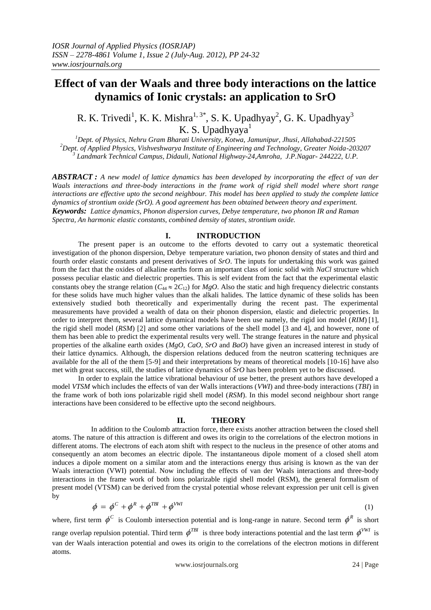# **Effect of van der Waals and three body interactions on the lattice dynamics of Ionic crystals: an application to SrO**

R. K. Trivedi<sup>1</sup>, K. K. Mishra<sup>1, 3\*</sup>, S. K. Upadhyay<sup>2</sup>, G. K. Upadhyay<sup>3</sup> K. S. Upadhyaya $1$ 

*<sup>1</sup>Dept. of Physics, Nehru Gram Bharati University, Kotwa, Jamunipur, Jhusi, Allahabad-221505 <sup>2</sup>Dept. of Applied Physics, Vishveshwarya Institute of Engineering and Technology, Greater Noida-203207 3 Landmark Technical Campus, Didauli, National Highway-24,Amroha, J.P.Nagar- 244222, U.P.*

*ABSTRACT : A new model of lattice dynamics has been developed by incorporating the effect of van der Waals interactions and three-body interactions in the frame work of rigid shell model where short range interactions are effective upto the second neighbour. This model has been applied to study the complete lattice dynamics of strontium oxide (SrO). A good agreement has been obtained between theory and experiment. Keywords: Lattice dynamics, Phonon dispersion curves, Debye temperature, two phonon IR and Raman Spectra, An harmonic elastic constants, combined density of states, strontium oxide.*

### **I. INTRODUCTION**

The present paper is an outcome to the efforts devoted to carry out a systematic theoretical investigation of the phonon dispersion, Debye temperature variation, two phonon density of states and third and fourth order elastic constants and present derivatives of *SrO*. The inputs for undertaking this work was gained from the fact that the oxides of alkaline earths form an important class of ionic solid with *NaCl* structure which possess peculiar elastic and dielectric properties. This is self evident from the fact that the experimental elastic constants obey the strange relation ( $C_{44} \approx 2C_{12}$ ) for *MgO*. Also the static and high frequency dielectric constants for these solids have much higher values than the alkali halides. The lattice dynamic of these solids has been extensively studied both theoretically and experimentally during the recent past. The experimental measurements have provided a wealth of data on their phonon dispersion, elastic and dielectric properties. In order to interpret them, several lattice dynamical models have been use namely, the rigid ion model (*RIM*) [1], the rigid shell model (*RSM*) [2] and some other variations of the shell model [3 and 4], and however, none of them has been able to predict the experimental results very well. The strange features in the nature and physical properties of the alkaline earth oxides (*MgO*, *CaO*, *SrO* and *BaO*) have given an increased interest in study of their lattice dynamics. Although, the dispersion relations deduced from the neutron scattering techniques are available for the all of the them [5-9] and their interpretations by means of theoretical models [10-16] have also met with great success, still, the studies of lattice dynamics of *SrO* has been problem yet to be discussed.

In order to explain the lattice vibrational behaviour of use better, the present authors have developed a model *VTSM* which includes the effects of van der Walls interactions (*VWI*) and three-body interactions (*TBI*) in the frame work of both ions polarizable rigid shell model (*RSM*). In this model second neighbour short range interactions have been considered to be effective upto the second neighbours.

### **II. THEORY**

In addition to the Coulomb attraction force, there exists another attraction between the closed shell atoms. The nature of this attraction is different and owes its origin to the correlations of the electron motions in different atoms. The electrons of each atom shift with respect to the nucleus in the presence of other atoms and consequently an atom becomes an electric dipole. The instantaneous dipole moment of a closed shell atom induces a dipole moment on a similar atom and the interactions energy thus arising is known as the van der Waals interaction (VWI) potential. Now including the effects of van der Waals interactions and three-body interactions in the frame work of both ions polarizable rigid shell model (RSM), the general formalism of present model (VTSM) can be derived from the crystal potential whose relevant expression per unit cell is given by

$$
\phi = \phi^C + \phi^R + \phi^{TBI} + \phi^{VWI} \tag{1}
$$

where, first term  $\phi^C$  is Coulomb intersection potential and is long-range in nature. Second term  $\phi^R$  is short range overlap repulsion potential. Third term  $\phi^{TBI}$  is three body interactions potential and the last term  $\phi^{VWI}$  is van der Waals interaction potential and owes its origin to the correlations of the electron motions in different atoms.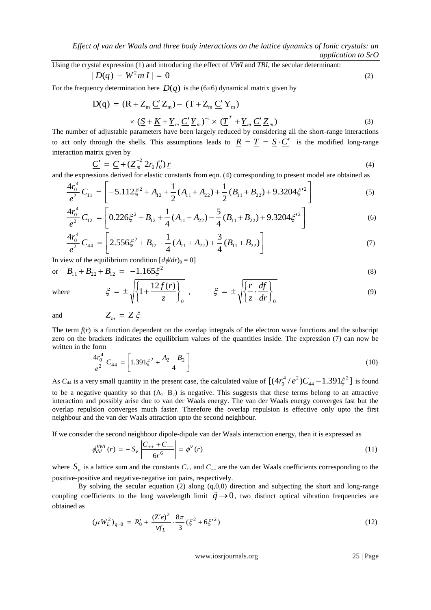Using the crystal expression (1) and introducing the effect of *VWI* and *TBI*, the secular determinant:  $|\underline{D}(\overline{q}) - W^2 \underline{m} \underline{I}| = 0$  (2)

For the frequency determination here  $D(q)$  is the (6×6) dynamical matrix given by

$$
\underline{D}(\overline{q}) = (\underline{R} + \underline{Z}_m \underline{C}' \underline{Z}_m) - (\underline{T} + \underline{Z}_m \underline{C}' \underline{Y}_m)
$$
  
\$\times (\underline{S} + \underline{K} + \underline{Y}\_m \underline{C}' \underline{Y}\_m)^{-1} \times (\underline{T}^T + \underline{Y}\_m \underline{C}' \underline{Z}\_m)\$ (3)

The number of adjustable parameters have been largely reduced by considering all the short-range interactions to act only through the shells. This assumptions leads to  $\underline{R} = \underline{T} = \underline{S} \cdot \underline{C}'$  is the modified long-range interaction matrix given by

$$
\underline{C'} = \underline{C} + (\underline{Z}_m^{-2} 2r_0 f_0') \underline{r}
$$
\n<sup>(4)</sup>

and the expressions derived for elastic constants from eqn. (4) corresponding to present model are obtained as

$$
\frac{4r_0^4}{e^2}C_{11} = \left[-5.112\xi^2 + A_{12} + \frac{1}{2}(A_{11} + A_{22}) + \frac{1}{2}(B_{11} + B_{22}) + 9.3204\xi'^2\right]
$$
(5)

$$
\frac{4r_0^4}{e^2}C_{12} = \left[0.226\xi^2 - B_{12} + \frac{1}{4}(A_{11} + A_{22}) - \frac{5}{4}(B_{11} + B_{22}) + 9.3204\xi'^2\right]
$$
(6)

$$
\frac{4r_0^4}{e^2}C_{44} = \left[2.556\xi^2 + B_{12} + \frac{1}{4}(A_{11} + A_{22}) + \frac{3}{4}(B_{11} + B_{22})\right]
$$
(7)

In view of the equilibrium condition  $\left[\frac{d\phi}{dr}\right]_0 = 0$ ]

 $Z_m = Z \xi$ 

or 
$$
B_{11} + B_{22} + B_{12} = -1.165 \xi^2
$$
 (8)

$$
\xi = \pm \sqrt{\left\{1 + \frac{12f(r)}{z}\right\}_0}, \qquad \xi = \pm \sqrt{\left\{\frac{r}{z} \cdot \frac{df}{dr}\right\}_0}
$$
(9)

and

where

The term  $f(r)$  is a function dependent on the overlap integrals of the electron wave functions and the subscript zero on the brackets indicates the equilibrium values of the quantities inside. The expression (7) can now be written in the form

$$
\frac{4r_0^4}{e^2}C_{44} = \left[1.391\xi^2 + \frac{A_2 - B_2}{4}\right]
$$
\n(10)

As  $C_{44}$  is a very small quantity in the present case, the calculated value of  $[(4r_0^4/e^2)C_{44} - 1.391\xi^2]$ 44  $r_0^4$  /  $e^2$ ) $C_{44}$  – 1.391 $\xi^2$ ] is found to be a negative quantity so that  $(A_2-B_2)$  is negative. This suggests that these terms belong to an attractive interaction and possibly arise due to van der Waals energy. The van der Waals energy converges fast but the overlap repulsion converges much faster. Therefore the overlap repulsion is effective only upto the first neighbour and the van der Waals attraction upto the second neighbour.

If we consider the second neighbour dipole-dipole van der Waals interaction energy, then it is expressed as

$$
\phi_{dd}^{VWI}(r) = -S_V \left| \frac{C_{++} + C_{--}}{6r^6} \right| = \phi^V(r) \tag{11}
$$

where  $S_{v}$  is a lattice sum and the constants  $C_{++}$  and  $C_{-+}$  are the van der Waals coefficients corresponding to the positive-positive and negative-negative ion pairs, respectively.

By solving the secular equation (2) along  $(q,0,0)$  direction and subjecting the short and long-range coupling coefficients to the long wavelength limit  $\vec{q} \rightarrow 0$ , two distinct optical vibration frequencies are obtained as

$$
(\mu W_L^2)_{q=0} = R_0' + \frac{(Z'e)^2}{\psi_L'} \cdot \frac{8\pi}{3} (\xi^2 + 6\xi'^2)
$$
 (12)

www.iosrjournals.org 25 | Page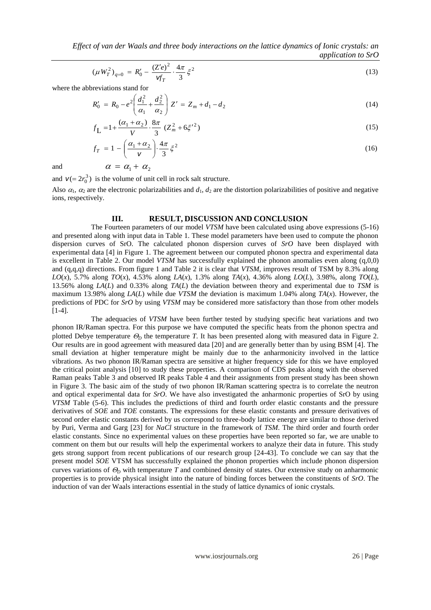*Effect of van der Waals and three body interactions on the lattice dynamics of Ionic crystals: an application to SrO*

$$
(\mu W_T^2)_{q=0} = R_0' - \frac{(Z'e)^2}{\sqrt{r}} \cdot \frac{4\pi}{3} \xi^2
$$
 (13)

where the abbreviations stand for

$$
R'_0 = R_0 - e^2 \left( \frac{d_1^2}{\alpha_1} + \frac{d_2^2}{\alpha_2} \right) Z' = Z_m + d_1 - d_2 \tag{14}
$$

$$
f_{\mathbf{L}} = 1 + \frac{(\alpha_1 + \alpha_2)}{V} \cdot \frac{8\pi}{3} \left( Z_m^2 + 6\xi'^2 \right) \tag{15}
$$

$$
f_T = 1 - \left(\frac{\alpha_1 + \alpha_2}{\nu}\right) \cdot \frac{4\pi}{3} \xi^2
$$
  
\n
$$
\alpha = \alpha_1 + \alpha_2
$$
\n(16)

and

and  $v (= 2r_0^3)$  is the volume of unit cell in rock salt structure.

Also  $\alpha_1$ ,  $\alpha_2$  are the electronic polarizabilities and  $d_1$ ,  $d_2$  are the distortion polarizabilities of positive and negative ions, respectively.

### **III. RESULT, DISCUSSION AND CONCLUSION**

The Fourteen parameters of our model *VTSM* have been calculated using above expressions (5-16) and presented along with input data in Table 1. These model parameters have been used to compute the phonon dispersion curves of SrO. The calculated phonon dispersion curves of *SrO* have been displayed with experimental data [4] in Figure 1. The agreement between our computed phonon spectra and experimental data is excellent in Table 2. Our model *VTSM* has successfully explained the phonon anomalies even along  $(q,0,0)$ and (q,q,q) directions. From figure 1 and Table 2 it is clear that *VTSM*, improves result of TSM by 8.3% along *LO*(*x*), 5.7% along *TO*(*x*), 4.53% along *LA*(*x*), 1.3% along *TA*(*x*), 4.36% along *LO*(*L*), 3.98%, along *TO*(*L*), 13.56% along *LA*(*L*) and 0.33% along *TA*(*L*) the deviation between theory and experimental due to *TSM* is maximum 13.98% along *LA*(*L*) while due *VTSM* the deviation is maximum 1.04% along *TA*(*x*). However, the predictions of PDC for *SrO* by using *VTSM* may be considered more satisfactory than those from other models [1-4].

The adequacies of *VTSM* have been further tested by studying specific heat variations and two phonon IR/Raman spectra. For this purpose we have computed the specific heats from the phonon spectra and plotted Debye temperature  $\mathcal{O}_D$  the temperature *T*. It has been presented along with measured data in Figure 2. Our results are in good agreement with measured data [20] and are generally better than by using BSM [4]. The small deviation at higher temperature might be mainly due to the anharmonicity involved in the lattice vibrations. As two phonon IR/Raman spectra are sensitive at higher frequency side for this we have employed the critical point analysis [10] to study these properties. A comparison of CDS peaks along with the observed Raman peaks Table 3 and observed IR peaks Table 4 and their assignments from present study has been shown in Figure 3. The basic aim of the study of two phonon IR/Raman scattering spectra is to correlate the neutron and optical experimental data for *SrO*. We have also investigated the anharmonic properties of SrO by using *VTSM* Table (5-6). This includes the predictions of third and fourth order elastic constants and the pressure derivatives of *SOE* and *TOE* constants. The expressions for these elastic constants and pressure derivatives of second order elastic constants derived by us correspond to three-body lattice energy are similar to those derived by Puri, Verma and Garg [23] for *NaCl* structure in the framework of *TSM*. The third order and fourth order elastic constants. Since no experimental values on these properties have been reported so far, we are unable to comment on them but our results will help the experimental workers to analyze their data in future. This study gets strong support from recent publications of our research group [24-43]. To conclude we can say that the present model *SOE* VTSM has successfully explained the phonon properties which include phonon dispersion curves variations of  $\mathcal{O}_D$  with temperature *T* and combined density of states. Our extensive study on anharmonic properties is to provide physical insight into the nature of binding forces between the constituents of *SrO*. The induction of van der Waals interactions essential in the study of lattice dynamics of ionic crystals.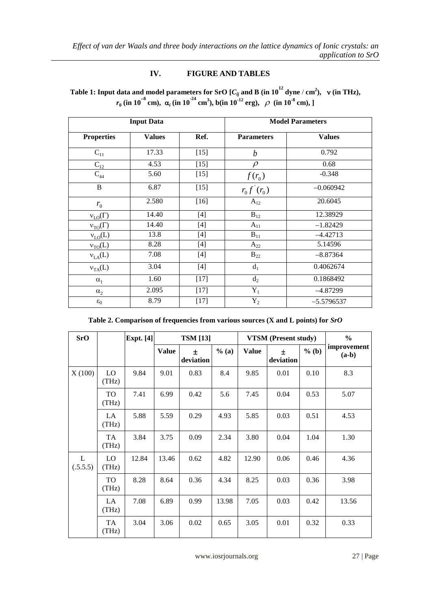# **IV. FIGURE AND TABLES**

| Table 1: Input data and model parameters for SrO [ $C_{ii}$ and B (in $10^{12}$ dyne / cm <sup>2</sup> ), v (in THz),                               |  |
|-----------------------------------------------------------------------------------------------------------------------------------------------------|--|
| $r_a$ (in 10 <sup>-8</sup> cm), $\alpha_i$ (in 10 <sup>-24</sup> cm <sup>3</sup> ), b(in 10 <sup>-12</sup> erg), $\rho$ (in 10 <sup>-8</sup> cm), ] |  |

| <b>Input Data</b> |               |        | <b>Model Parameters</b> |               |  |
|-------------------|---------------|--------|-------------------------|---------------|--|
| <b>Properties</b> | <b>Values</b> | Ref.   | <b>Parameters</b>       | <b>Values</b> |  |
| $C_{11}$          | 17.33         | $[15]$ | $\boldsymbol{b}$        | 0.792         |  |
| $C_{12}$          | 4.53          | $[15]$ | $\rho$                  | 0.68          |  |
| $C_{44}$          | 5.60          | $[15]$ | $f(r_0)$                | $-0.348$      |  |
| $\bf{B}$          | 6.87          | $[15]$ | $r_0 f'(r_0)$           | $-0.060942$   |  |
| $r_{0}$           | 2.580         | $[16]$ | $A_{12}$                | 20.6045       |  |
| $v_{LO}(\Gamma)$  | 14.40         | $[4]$  | $B_{12}$                | 12.38929      |  |
| $v_{TO}(\Gamma)$  | 14.40         | $[4]$  | $A_{11}$                | $-1.82429$    |  |
| $v_{LO}(L)$       | 13.8          | $[4]$  | $B_{11}$                | $-4.42713$    |  |
| $v_{TO}(L)$       | 8.28          | $[4]$  | $A_{22}$                | 5.14596       |  |
| $v_{LA}(L)$       | 7.08          | $[4]$  | $B_{22}$                | $-8.87364$    |  |
| $v_{TA}(L)$       | 3.04          | $[4]$  | $d_1$                   | 0.4062674     |  |
| $\alpha_1$        | 1.60          | $[17]$ | $d_2$                   | 0.1868492     |  |
| $\alpha_2$        | 2.095         | $[17]$ | $Y_1$                   | $-4.87299$    |  |
| $\epsilon_0$      | 8.79          | $[17]$ | $Y_2$                   | $-5.5796537$  |  |

**Table 2. Comparison of frequencies from various sources (X and L points) for** *SrO*

| <b>SrO</b>               |              | Expt. $[4]$ | <b>TSM</b> [13] |                | <b>VTSM</b> (Present study) |              |                | $\frac{6}{6}$ |                        |
|--------------------------|--------------|-------------|-----------------|----------------|-----------------------------|--------------|----------------|---------------|------------------------|
|                          |              |             | <b>Value</b>    | Ŧ<br>deviation | $%$ (a)                     | <b>Value</b> | 士<br>deviation | $%$ (b)       | improvement<br>$(a-b)$ |
| X(100)                   | LO<br>(THz)  | 9.84        | 9.01            | 0.83           | 8.4                         | 9.85         | 0.01           | 0.10          | 8.3                    |
|                          | TO<br>(THz)  | 7.41        | 6.99            | 0.42           | 5.6                         | 7.45         | 0.04           | 0.53          | 5.07                   |
|                          | LA.<br>(THz) | 5.88        | 5.59            | 0.29           | 4.93                        | 5.85         | 0.03           | 0.51          | 4.53                   |
|                          | TA<br>(THz)  | 3.84        | 3.75            | 0.09           | 2.34                        | 3.80         | 0.04           | 1.04          | 1.30                   |
| $\mathbf{L}$<br>(.5.5.5) | LO<br>(THz)  | 12.84       | 13.46           | 0.62           | 4.82                        | 12.90        | 0.06           | 0.46          | 4.36                   |
|                          | TO<br>(THz)  | 8.28        | 8.64            | 0.36           | 4.34                        | 8.25         | 0.03           | 0.36          | 3.98                   |
|                          | LA<br>(THz)  | 7.08        | 6.89            | 0.99           | 13.98                       | 7.05         | 0.03           | 0.42          | 13.56                  |
|                          | TA<br>(THz)  | 3.04        | 3.06            | 0.02           | 0.65                        | 3.05         | 0.01           | 0.32          | 0.33                   |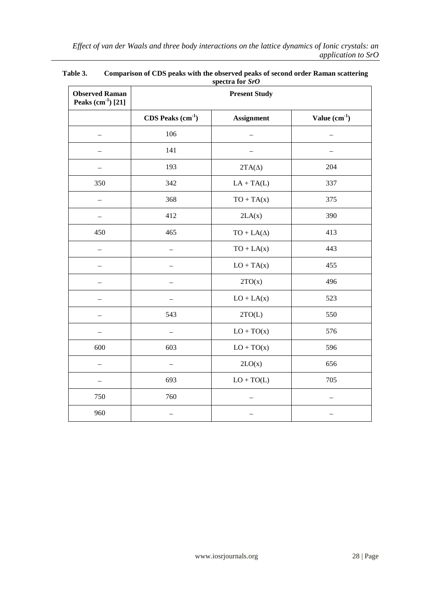| <b>Observed Raman</b><br>Peaks $(cm^{-1})$ [21] | $\sigma$<br><b>Present Study</b> |                   |                |  |
|-------------------------------------------------|----------------------------------|-------------------|----------------|--|
|                                                 | $CDS$ Peaks $(cm-1)$             | <b>Assignment</b> | Value $(cm-1)$ |  |
|                                                 | 106                              |                   |                |  |
|                                                 | 141                              |                   |                |  |
|                                                 | 193                              | $2TA(\Delta)$     | 204            |  |
| 350                                             | 342                              | $LA + TA(L)$      | 337            |  |
|                                                 | 368                              | $TO + TA(x)$      | 375            |  |
|                                                 | 412                              | 2LA(x)            | 390            |  |
| 450                                             | 465                              | $TO + LA(\Delta)$ | 413            |  |
|                                                 |                                  | $TO + LA(x)$      | 443            |  |
|                                                 |                                  | $LO + TA(x)$      | 455            |  |
|                                                 |                                  | 2TO(x)            | 496            |  |
|                                                 |                                  | $LO + LA(x)$      | 523            |  |
|                                                 | 543                              | 2TO(L)            | 550            |  |
|                                                 |                                  | $LO + TO(x)$      | 576            |  |
| 600                                             | 603                              | $LO + TO(x)$      | 596            |  |
|                                                 |                                  | 2LO(x)            | 656            |  |
|                                                 | 693                              | $LO + TO(L)$      | 705            |  |
| 750                                             | 760                              |                   |                |  |
| 960                                             |                                  |                   |                |  |

## **Table 3. Comparison of CDS peaks with the observed peaks of second order Raman scattering spectra for** *SrO*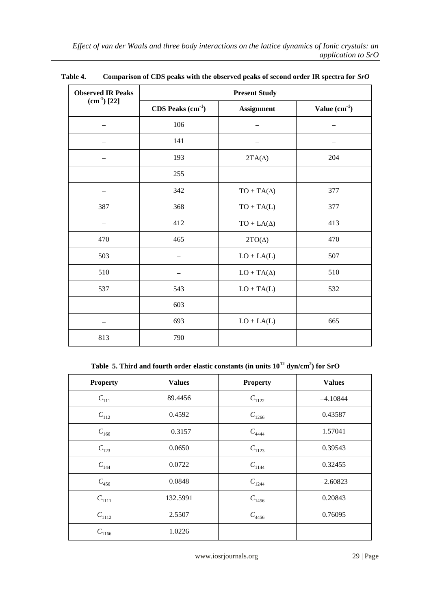| <b>Observed IR Peaks</b> | <b>Present Study</b>                      |                   |                |  |  |
|--------------------------|-------------------------------------------|-------------------|----------------|--|--|
| $(cm-1) [22]$            | $CDS$ Peaks $(cm-1)$<br><b>Assignment</b> |                   | Value $(cm-1)$ |  |  |
|                          | 106                                       |                   |                |  |  |
|                          | 141                                       |                   |                |  |  |
|                          | 193                                       | $2TA(\Delta)$     | 204            |  |  |
|                          | 255                                       |                   |                |  |  |
|                          | 342                                       | $TO + TA(\Delta)$ | 377            |  |  |
| 387                      | 368                                       | $TO + TA(L)$      | 377            |  |  |
|                          | 412                                       | $TO + LA(\Delta)$ | 413            |  |  |
| 470                      | 465                                       | $2TO(\Delta)$     | 470            |  |  |
| 503                      |                                           | $LO + LA(L)$      | 507            |  |  |
| 510                      |                                           | $LO+TA(\Delta)$   | 510            |  |  |
| 537                      | 543                                       | $LO + TA(L)$      | 532            |  |  |
|                          | 603                                       |                   |                |  |  |
|                          | 693                                       | $LO + LA(L)$      | 665            |  |  |
| 813                      | 790                                       |                   |                |  |  |

**Table 4. Comparison of CDS peaks with the observed peaks of second order IR spectra for** *SrO*

**Table 5. Third and fourth order elastic constants (in units 10<sup>12</sup> dyn/cm<sup>2</sup> ) for SrO**

| <b>Property</b> | <b>Values</b> | <b>Property</b> | <b>Values</b> |
|-----------------|---------------|-----------------|---------------|
| $C_{111}$       | 89.4456       | $C_{1122}$      | $-4.10844$    |
| $C_{112}$       | 0.4592        | $C_{1266}$      | 0.43587       |
| $C_{166}$       | $-0.3157$     | $C_{4444}$      | 1.57041       |
| $C_{123}$       | 0.0650        | $C_{1123}$      | 0.39543       |
| $C_{144}$       | 0.0722        | $C_{1144}$      | 0.32455       |
| $C_{456}$       | 0.0848        | $C_{1244}$      | $-2.60823$    |
| $C_{1111}$      | 132.5991      | $C_{1456}$      | 0.20843       |
| $C_{1112}$      | 2.5507        | $C_{4456}$      | 0.76095       |
| $C_{1166}$      | 1.0226        |                 |               |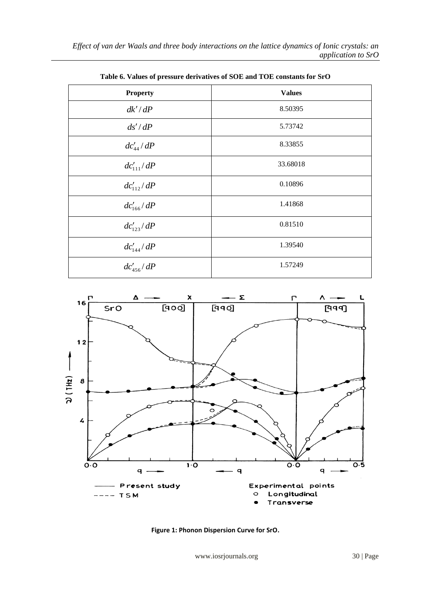| <b>Property</b> | <b>Values</b> |
|-----------------|---------------|
| dk'/dP          | 8.50395       |
| ds'/dP          | 5.73742       |
| $dc'_{44}/dP$   | 8.33855       |
| $dc'_{111}/dP$  | 33.68018      |
| $dc'_{112}/dP$  | 0.10896       |
| $dc'_{166}/dP$  | 1.41868       |
| $dc'_{123}/dP$  | 0.81510       |
| $dc'_{144}/dP$  | 1.39540       |
| $dc'_{456}/dP$  | 1.57249       |

**Table 6. Values of pressure derivatives of SOE and TOE constants for SrO**



**Figure 1: Phonon Dispersion Curve for SrO.**

www.iosrjournals.org 30 | Page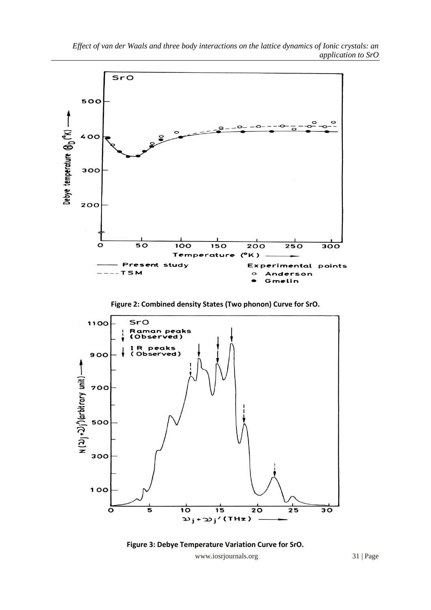







www.iosrjournals.org 31 | Page